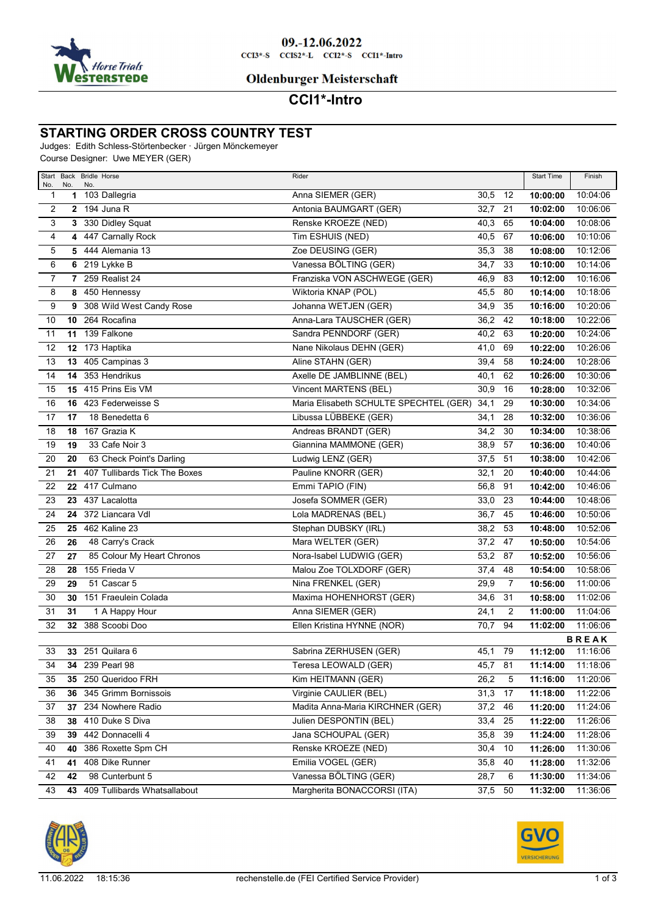

## **Oldenburger Meisterschaft**

# **CCI1\*-Intro**

### **STARTING ORDER CROSS COUNTRY TEST**

Judges: Edith Schless-Störtenbecker · Jürgen Mönckemeyer

Course Designer: Uwe MEYER (GER)

| No.             | No.             | Start Back Bridle Horse<br>No. | Rider                                  |           |                | <b>Start Time</b> | Finish       |
|-----------------|-----------------|--------------------------------|----------------------------------------|-----------|----------------|-------------------|--------------|
| 1               | 1               | 103 Dallegria                  | Anna SIEMER (GER)                      | 30,5      | 12             | 10:00:00          | 10:04:06     |
| 2               |                 | $2$ 194 Juna R                 | Antonia BAUMGART (GER)                 | 32,7      | 21             | 10:02:00          | 10:06:06     |
| 3               |                 | 3 330 Didley Squat             | Renske KROEZE (NED)                    | 40,3      | 65             | 10:04:00          | 10:08:06     |
| 4               |                 | 4 447 Carnally Rock            | Tim ESHUIS (NED)                       | 40,5      | 67             | 10:06:00          | 10:10:06     |
| 5               |                 | 5 444 Alemania 13              | Zoe DEUSING (GER)                      | 35,3      | 38             | 10:08:00          | 10:12:06     |
| 6               |                 | 6 219 Lykke B                  | Vanessa BÖLTING (GER)                  | 34,7      | 33             | 10:10:00          | 10:14:06     |
| $\overline{7}$  |                 | 7 259 Realist 24               | Franziska VON ASCHWEGE (GER)           | 46,9      | 83             | 10:12:00          | 10:16:06     |
| 8               | 8               | 450 Hennessy                   | Wiktoria KNAP (POL)                    | 45,5      | 80             | 10:14:00          | 10:18:06     |
| 9               | 9               | 308 Wild West Candy Rose       | Johanna WETJEN (GER)                   | 34,9      | 35             | 10:16:00          | 10:20:06     |
| 10              | 10 <sub>1</sub> | 264 Rocafina                   | Anna-Lara TAUSCHER (GER)               | 36,2      | 42             | 10:18:00          | 10:22:06     |
| 11              | 11              | 139 Falkone                    | Sandra PENNDORF (GER)                  | 40,2      | 63             | 10:20:00          | 10:24:06     |
| $\overline{12}$ | 12              | 173 Haptika                    | Nane Nikolaus DEHN (GER)               | 41,0      | 69             | 10:22:00          | 10:26:06     |
| 13              | 13              | 405 Campinas 3                 | Aline STAHN (GER)                      | 39,4      | 58             | 10:24:00          | 10:28:06     |
| 14              | 14              | 353 Hendrikus                  | Axelle DE JAMBLINNE (BEL)              | 40,1      | 62             | 10:26:00          | 10:30:06     |
| 15              | 15              | 415 Prins Eis VM               | Vincent MARTENS (BEL)                  | 30,9      | 16             | 10:28:00          | 10:32:06     |
| 16              | 16              | 423 Federweisse S              | Maria Elisabeth SCHULTE SPECHTEL (GER) | 34,1      | 29             | 10:30:00          | 10:34:06     |
| 17              | 17              | 18 Benedetta 6                 | Libussa LÜBBEKE (GER)                  | 34,1      | 28             | 10:32:00          | 10:36:06     |
| 18              |                 | 18 167 Grazia K                | Andreas BRANDT (GER)                   | 34,2      | 30             | 10:34:00          | 10:38:06     |
| 19              | 19              | 33 Cafe Noir 3                 | Giannina MAMMONE (GER)                 | 38,9      | 57             | 10:36:00          | 10:40:06     |
| 20              | 20              | 63 Check Point's Darling       | Ludwig LENZ (GER)                      | 37,5      | 51             | 10:38:00          | 10:42:06     |
| 21              | 21              | 407 Tullibards Tick The Boxes  | Pauline KNORR (GER)                    | 32,1      | 20             | 10:40:00          | 10:44:06     |
| 22              |                 | 22 417 Culmano                 | Emmi TAPIO (FIN)                       | 56,8      | 91             | 10:42:00          | 10:46:06     |
| 23              | 23              | 437 Lacalotta                  | Josefa SOMMER (GER)                    | 33,0      | 23             | 10:44:00          | 10:48:06     |
| 24              | 24              | 372 Liancara Vdl               | Lola MADRENAS (BEL)                    | 36,7      | 45             | 10:46:00          | 10:50:06     |
| 25              | 25              | 462 Kaline 23                  | Stephan DUBSKY (IRL)                   | 38,2      | 53             | 10:48:00          | 10:52:06     |
| 26              | 26              | 48 Carry's Crack               | Mara WELTER (GER)                      | 37,2      | 47             | 10:50:00          | 10:54:06     |
| 27              | 27              | 85 Colour My Heart Chronos     | Nora-Isabel LUDWIG (GER)               | 53,2      | 87             | 10:52:00          | 10:56:06     |
| 28              | 28              | 155 Frieda V                   | Malou Zoe TOLXDORF (GER)               | 37,4      | 48             | 10:54:00          | 10:58:06     |
| 29              | 29              | 51 Cascar 5                    | Nina FRENKEL (GER)                     | 29,9      | $\overline{7}$ | 10:56:00          | 11:00:06     |
| 30              | 30              | 151 Fraeulein Colada           | Maxima HOHENHORST (GER)                | 34,6      | 31             | 10:58:00          | 11:02:06     |
| 31              | 31              | 1 A Happy Hour                 | Anna SIEMER (GER)                      | 24,1      | $\overline{2}$ | 11:00:00          | 11:04:06     |
| 32              | 32 <sub>2</sub> | 388 Scoobi Doo                 | Ellen Kristina HYNNE (NOR)             | 70,7      | 94             | 11:02:00          | 11:06:06     |
|                 |                 |                                |                                        |           |                |                   | <b>BREAK</b> |
| 33              |                 | 33 251 Quilara 6               | Sabrina ZERHUSEN (GER)                 | 45,1 79   |                | 11:12:00          | 11:16:06     |
| 34              |                 | 34 239 Pearl 98                | Teresa LEOWALD (GER)                   | 45,7 81   |                | 11:14:00          | 11:18:06     |
| 35              | 35              | 250 Queridoo FRH               | Kim HEITMANN (GER)                     | 26,2      | 5              | 11:16:00          | 11:20:06     |
| 36              | 36              | 345 Grimm Bornissois           | Virginie CAULIER (BEL)                 | 31,3      | 17             | 11:18:00          | 11:22:06     |
| 37              | 37              | 234 Nowhere Radio              | Madita Anna-Maria KIRCHNER (GER)       | 37,2      | 46             | 11:20:00          | 11:24:06     |
| 38              | 38              | 410 Duke S Diva                | Julien DESPONTIN (BEL)                 | 33,4      | 25             | 11:22:00          | 11:26:06     |
| 39              | 39              | 442 Donnacelli 4               | Jana SCHOUPAL (GER)                    | 35,8      | 39             | 11:24:00          | 11:28:06     |
| 40              | 40              | 386 Roxette Spm CH             | Renske KROEZE (NED)                    | 30,4      | 10             | 11:26:00          | 11:30:06     |
| 41              | 41              | 408 Dike Runner                | Emilia VOGEL (GER)                     | 35,8      | 40             | 11:28:00          | 11:32:06     |
| 42              | 42              | 98 Cunterbunt 5                | Vanessa BÖLTING (GER)                  | 28,7      | 6              | 11:30:00          | 11:34:06     |
| 43              | 43              | 409 Tullibards Whatsallabout   | Margherita BONACCORSI (ITA)            | $37,5$ 50 |                | 11:32:00          | 11:36:06     |

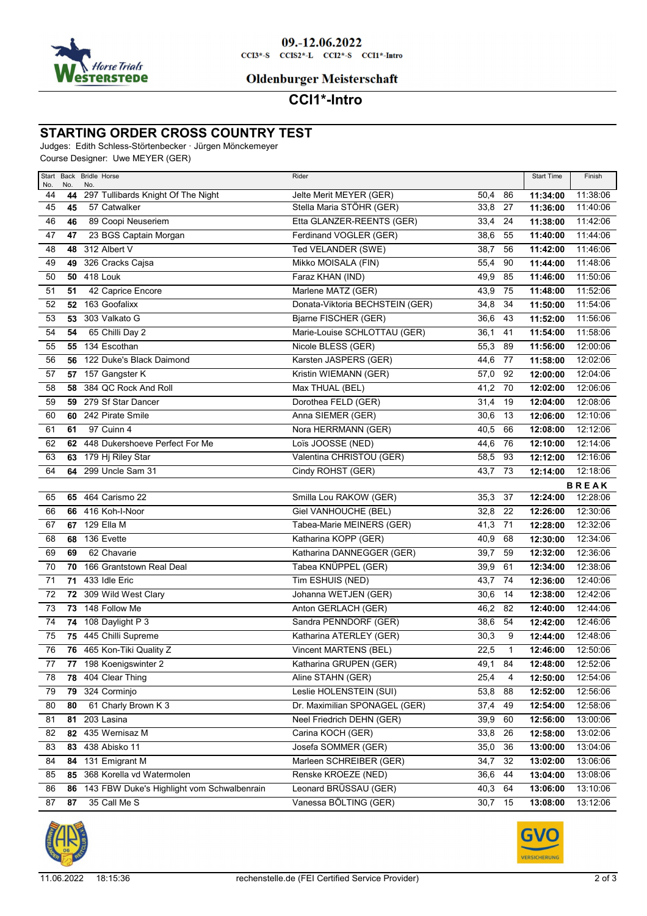

## **Oldenburger Meisterschaft**

# **CCI1\*-Intro**

### **STARTING ORDER CROSS COUNTRY TEST**

Judges: Edith Schless-Störtenbecker · Jürgen Mönckemeyer

Course Designer: Uwe MEYER (GER)

| No.             | No. | Start Back Bridle Horse<br>No.             | Rider                           |         |              | <b>Start Time</b> | Finish       |
|-----------------|-----|--------------------------------------------|---------------------------------|---------|--------------|-------------------|--------------|
| 44              | 44  | 297 Tullibards Knight Of The Night         | Jelte Merit MEYER (GER)         | 50,4    | 86           | 11:34:00          | 11:38:06     |
| 45              | 45  | 57 Catwalker                               | Stella Maria STÖHR (GER)        | 33,8    | 27           | 11:36:00          | 11:40:06     |
| 46              | 46  | 89 Coopi Neuseriem                         | Etta GLANZER-REENTS (GER)       | 33,4    | 24           | 11:38:00          | 11:42:06     |
| 47              | 47  | 23 BGS Captain Morgan                      | Ferdinand VOGLER (GER)          | 38,6    | 55           | 11:40:00          | 11:44:06     |
| 48              | 48  | 312 Albert V                               | Ted VELANDER (SWE)              | 38,7    | 56           | 11:42:00          | 11:46:06     |
| 49              | 49  | 326 Cracks Cajsa                           | Mikko MOISALA (FIN)             | 55,4    | 90           | 11:44:00          | 11:48:06     |
| 50              | 50  | 418 Louk                                   | Faraz KHAN (IND)                | 49,9    | 85           | 11:46:00          | 11:50:06     |
| 51              | 51  | 42 Caprice Encore                          | Marlene MATZ (GER)              | 43,9    | 75           | 11:48:00          | 11:52:06     |
| 52              |     | 52 163 Goofalixx                           | Donata-Viktoria BECHSTEIN (GER) | 34,8    | 34           | 11:50:00          | 11:54:06     |
| 53              | 53  | 303 Valkato G                              | Bjarne FISCHER (GER)            | 36,6    | 43           | 11:52:00          | 11:56:06     |
| 54              | 54  | 65 Chilli Day 2                            | Marie-Louise SCHLOTTAU (GER)    | 36,1    | 41           | 11:54:00          | 11:58:06     |
| 55              | 55  | 134 Escothan                               | Nicole BLESS (GER)              | 55,3    | 89           | 11:56:00          | 12:00:06     |
| 56              |     | 56 122 Duke's Black Daimond                | Karsten JASPERS (GER)           | 44,6    | 77           | 11:58:00          | 12:02:06     |
| 57              |     | 57 157 Gangster K                          | Kristin WIEMANN (GER)           | 57,0    | 92           | 12:00:00          | 12:04:06     |
| 58              | 58  | 384 QC Rock And Roll                       | Max THUAL (BEL)                 | 41,2    | 70           | 12:02:00          | 12:06:06     |
| 59              |     | 59 279 Sf Star Dancer                      | Dorothea FELD (GER)             | 31,4    | 19           | 12:04:00          | 12:08:06     |
| 60              |     | 60 242 Pirate Smile                        | Anna SIEMER (GER)               | 30,6    | 13           | 12:06:00          | 12:10:06     |
| 61              | 61  | 97 Cuinn 4                                 | Nora HERRMANN (GER)             | 40,5    | 66           | 12:08:00          | 12:12:06     |
| 62              |     | 62 448 Dukershoeve Perfect For Me          | Loïs JOOSSE (NED)               | 44,6    | 76           | 12:10:00          | 12:14:06     |
| 63              |     | 63 179 Hj Riley Star                       | Valentina CHRISTOU (GER)        | 58,5    | 93           | 12:12:00          | 12:16:06     |
| 64              |     | 64 299 Uncle Sam 31                        | Cindy ROHST (GER)               | 43,7    | 73           | 12:14:00          | 12:18:06     |
|                 |     |                                            |                                 |         |              |                   | <b>BREAK</b> |
| 65              |     | 65 464 Carismo 22                          | Smilla Lou RAKOW (GER)          | 35,3    | 37           | 12:24:00          | 12:28:06     |
| 66              |     | 66 416 Koh-I-Noor                          | Giel VANHOUCHE (BEL)            | 32,8    | 22           | 12:26:00          | 12:30:06     |
| 67              |     | 67 129 Ella M                              | Tabea-Marie MEINERS (GER)       | 41,3    | 71           | 12:28:00          | 12:32:06     |
| 68              | 68  | 136 Evette                                 | Katharina KOPP (GER)            | 40,9    | 68           | 12:30:00          | 12:34:06     |
| 69              | 69  | 62 Chavarie                                | Katharina DANNEGGER (GER)       | 39,7    | 59           | 12:32:00          | 12:36:06     |
| 70              | 70  | 166 Grantstown Real Deal                   | Tabea KNÜPPEL (GER)             | 39,9    | 61           | 12:34:00          | 12:38:06     |
| 71              |     | <b>71 433 Idle Eric</b>                    | Tim ESHUIS (NED)                | 43,7    | 74           | 12:36:00          | 12:40:06     |
| 72              |     | 72 309 Wild West Clary                     | Johanna WETJEN (GER)            | 30,6    | 14           | 12:38:00          | 12:42:06     |
| 73              |     | 73 148 Follow Me                           | Anton GERLACH (GER)             | 46,2    | 82           | 12:40:00          | 12:44:06     |
| 74              |     | 74 108 Daylight P 3                        | Sandra PENNDORF (GER)           | 38,6    | 54           | 12:42:00          | 12:46:06     |
| 75              |     | 75 445 Chilli Supreme                      | Katharina ATERLEY (GER)         | 30,3    | 9            | 12:44:00          | 12:48:06     |
| 76              |     | 76 465 Kon-Tiki Quality Z                  | Vincent MARTENS (BEL)           | 22,5    | $\mathbf{1}$ | 12:46:00          | 12:50:06     |
| $\overline{77}$ |     | 77 198 Koenigswinter 2                     | Katharina GRUPEN (GER)          | 49,1    | 84           | 12:48:00          | 12:52:06     |
| 78              | 78  | 404 Clear Thing                            | Aline STAHN (GER)               | 25,4    | 4            | 12:50:00          | 12:54:06     |
| 79              | 79  | 324 Corminjo                               | Leslie HOLENSTEIN (SUI)         | 53,8    | 88           | 12:52:00          | 12:56:06     |
| 80              | 80  | 61 Charly Brown K 3                        | Dr. Maximilian SPONAGEL (GER)   | 37,4    | 49           | 12:54:00          | 12:58:06     |
| 81              | 81  | 203 Lasina                                 | Neel Friedrich DEHN (GER)       | 39,9    | 60           | 12:56:00          | 13:00:06     |
| 82              | 82  | 435 Wernisaz M                             | Carina KOCH (GER)               | 33,8    | 26           | 12:58:00          | 13:02:06     |
| 83              | 83  | 438 Abisko 11                              | Josefa SOMMER (GER)             | 35,0    | 36           | 13:00:00          | 13:04:06     |
| 84              | 84  | 131 Emigrant M                             | Marleen SCHREIBER (GER)         | 34,7    | 32           | 13:02:00          | 13:06:06     |
| 85              | 85  | 368 Korella vd Watermolen                  | Renske KROEZE (NED)             | 36,6    | 44           | 13:04:00          | 13:08:06     |
| 86              | 86  | 143 FBW Duke's Highlight vom Schwalbenrain | Leonard BRÜSSAU (GER)           | 40,3    | 64           | 13:06:00          | 13:10:06     |
| 87              | 87  | 35 Call Me S                               | Vanessa BÖLTING (GER)           | 30,7 15 |              | 13:08:00          | 13:12:06     |